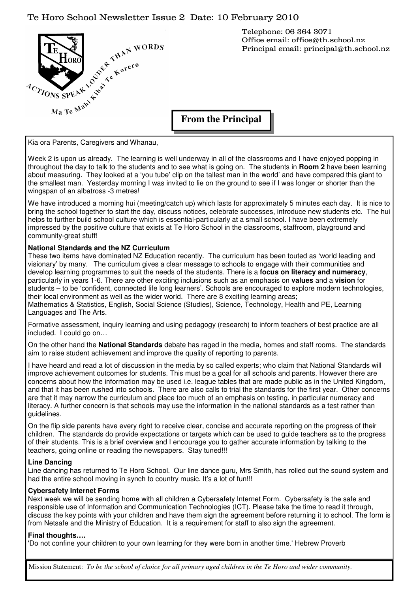## Te Horo School Newsletter Issue 2 Date: 10 February 2010



Telephone: 06 364 3071 Office email: office@th.school.nz Principal email: principal@th.school.nz

**From the Principal** 

Kia ora Parents, Caregivers and Whanau,

Week 2 is upon us already. The learning is well underway in all of the classrooms and I have enjoyed popping in throughout the day to talk to the students and to see what is going on. The students in **Room 2** have been learning about measuring. They looked at a 'you tube' clip on the tallest man in the world' and have compared this giant to the smallest man. Yesterday morning I was invited to lie on the ground to see if I was longer or shorter than the wingspan of an albatross -3 metres!

We have introduced a morning hui (meeting/catch up) which lasts for approximately 5 minutes each day. It is nice to bring the school together to start the day, discuss notices, celebrate successes, introduce new students etc. The hui helps to further build school culture which is essential-particularly at a small school. I have been extremely impressed by the positive culture that exists at Te Horo School in the classrooms, staffroom, playground and community-great stuff!

#### **National Standards and the NZ Curriculum**

These two items have dominated NZ Education recently. The curriculum has been touted as 'world leading and visionary' by many. The curriculum gives a clear message to schools to engage with their communities and develop learning programmes to suit the needs of the students. There is a **focus on literacy and numeracy**, particularly in years 1-6. There are other exciting inclusions such as an emphasis on **values** and a **vision** for students – to be 'confident, connected life long learners'. Schools are encouraged to explore modern technologies, their local environment as well as the wider world. There are 8 exciting learning areas; Mathematics & Statistics, English, Social Science (Studies), Science, Technology, Health and PE, Learning Languages and The Arts.

Formative assessment, inquiry learning and using pedagogy (research) to inform teachers of best practice are all included. I could go on…

On the other hand the **National Standards** debate has raged in the media, homes and staff rooms. The standards aim to raise student achievement and improve the quality of reporting to parents.

I have heard and read a lot of discussion in the media by so called experts; who claim that National Standards will improve achievement outcomes for students. This must be a goal for all schools and parents. However there are concerns about how the information may be used i.e. league tables that are made public as in the United Kingdom, and that it has been rushed into schools. There are also calls to trial the standards for the first year. Other concerns are that it may narrow the curriculum and place too much of an emphasis on testing, in particular numeracy and literacy. A further concern is that schools may use the information in the national standards as a test rather than guidelines.

On the flip side parents have every right to receive clear, concise and accurate reporting on the progress of their children. The standards do provide expectations or targets which can be used to guide teachers as to the progress of their students. This is a brief overview and I encourage you to gather accurate information by talking to the teachers, going online or reading the newspapers. Stay tuned!!!

#### **Line Dancing**

Line dancing has returned to Te Horo School. Our line dance guru, Mrs Smith, has rolled out the sound system and had the entire school moving in synch to country music. It's a lot of fun!!!

#### **Cybersafety Internet Forms**

Next week we will be sending home with all children a Cybersafety Internet Form. Cybersafety is the safe and responsible use of Information and Communication Technologies (ICT). Please take the time to read it through, discuss the key points with your children and have them sign the agreement before returning it to school. The form is from Netsafe and the Ministry of Education. It is a requirement for staff to also sign the agreement.

#### **Final thoughts….**

'Do not confine your children to your own learning for they were born in another time.' Hebrew Proverb

Mission Statement: *To be the school of choice for all primary aged children in the Te Horo and wider community.*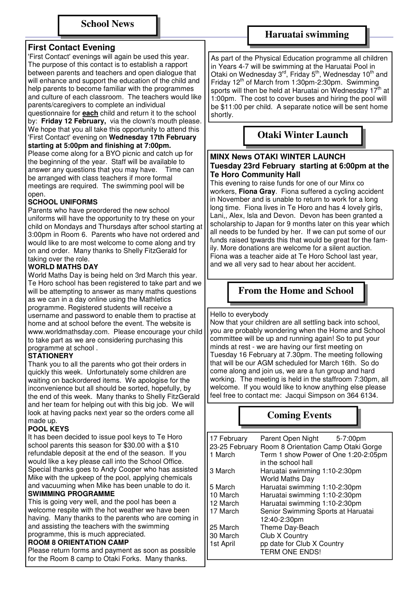## **First Contact Evening**

'First Contact' evenings will again be used this year. The purpose of this contact is to establish a rapport between parents and teachers and open dialogue that will enhance and support the education of the child and help parents to become familiar with the programmes and culture of each classroom. The teachers would like parents/caregivers to complete an individual

questionnaire for **each** child and return it to the school by: **Friday 12 February,** via the clown's mouth please. We hope that you all take this opportunity to attend this 'First Contact' evening on **Wednesday 17th February starting at 5:00pm and finishing at 7:00pm.** 

Please come along for a BYO picnic and catch up for the beginning of the year. Staff will be available to answer any questions that you may have. Time can be arranged with class teachers if more formal meetings are required. The swimming pool will be open.

## **SCHOOL UNIFORMS**

Parents who have preordered the new school uniforms will have the opportunity to try these on your child on Mondays and Thursdays after school starting at 3:00pm in Room 6. Parents who have not ordered and would like to are most welcome to come along and try on and order. Many thanks to Shelly FitzGerald for taking over the role.

## **WORLD MATHS DAY**

World Maths Day is being held on 3rd March this year. Te Horo school has been registered to take part and we will be attempting to answer as many maths questions as we can in a day online using the Mathletics programme. Registered students will receive a username and password to enable them to practise at home and at school before the event. The website is www.worldmathsday.com. Please encourage your child to take part as we are considering purchasing this programme at school .

#### **STATIONERY**

Thank you to all the parents who got their orders in quickly this week. Unfortunately some children are waiting on backordered items. We apologise for the inconvenience but all should be sorted, hopefully, by the end of this week. Many thanks to Shelly FitzGerald and her team for helping out with this big job. We will look at having packs next year so the orders come all made up.

#### **POOL KEYS**

It has been decided to issue pool keys to Te Horo school parents this season for \$30.00 with a \$10 refundable deposit at the end of the season. If you would like a key please call into the School Office. Special thanks goes to Andy Cooper who has assisted Mike with the upkeep of the pool, applying chemicals and vacuuming when Mike has been unable to do it.

#### **SWIMMING PROGRAMME**

This is going very well, and the pool has been a welcome respite with the hot weather we have been having. Many thanks to the parents who are coming in and assisting the teachers with the swimming programme, this is much appreciated.

#### **ROOM 8 ORIENTATION CAMP**

Please return forms and payment as soon as possible for the Room 8 camp to Otaki Forks. Many thanks.

## **Haruatai swimming**

As part of the Physical Education programme all children in Years 4-7 will be swimming at the Haruatai Pool in Otaki on Wednesday 3<sup>rd</sup>, Friday 5<sup>th</sup>, Wednesday 10<sup>th</sup> and Friday  $12^{th}$  of March from 1:30pm-2:30pm. Swimming sports will then be held at Haruatai on Wednesday 17<sup>th</sup> at 1:00pm. The cost to cover buses and hiring the pool will be \$11:00 per child. A separate notice will be sent home shortly.

# **Otaki Winter Launch**

#### **MINX News OTAKI WINTER LAUNCH Tuesday 23rd February starting at 6:00pm at the Te Horo Community Hall**

This evening to raise funds for one of our Minx co workers, **Fiona Gray**. Fiona suffered a cycling accident in November and is unable to return to work for a long long time. Fiona lives in Te Horo and has 4 lovely girls, Lani,, Alex, Isla and Devon. Devon has been granted a scholarship to Japan for 9 months later on this year which all needs to be funded by her. If we can put some of our funds raised tpwards this that would be great for the family. More donations are welcome for a silent auction. Fiona was a teacher aide at Te Horo School last year, and we all very sad to hear about her accident.

# **From the Home and School**

Hello to everybody

Now that your children are all settling back into school, you are probably wondering when the Home and School committee will be up and running again! So to put your minds at rest - we are having our first meeting on Tuesday 16 February at 7.30pm. The meeting following that will be our AGM scheduled for March 16th. So do come along and join us, we are a fun group and hard working. The meeting is held in the staffroom 7:30pm, all welcome. If you would like to know anything else please feel free to contact me: Jacqui Simpson on 364 6134.

# **Coming Events**

| 17 February | Parent Open Night 5-7:00pm                         |  |
|-------------|----------------------------------------------------|--|
|             | 23-25 February Room 8 Orientation Camp Otaki Gorge |  |
| 1 March     | Term 1 show Power of One 1:20-2:05pm               |  |
|             | in the school hall                                 |  |
| 3 March     | Haruatai swimming 1:10-2:30pm                      |  |
|             | <b>World Maths Day</b>                             |  |
| 5 March     | Haruatai swimming 1:10-2:30pm                      |  |
| 10 March    | Haruatai swimming 1:10-2:30pm                      |  |
| 12 March    | Haruatai swimming 1:10-2:30pm                      |  |
| 17 March    | Senior Swimming Sports at Haruatai                 |  |
|             | 12:40-2:30pm                                       |  |
| 25 March    | Theme Day-Beach                                    |  |
| 30 March    | Club X Country                                     |  |
| 1st April   | pp date for Club X Country                         |  |
|             | <b>TERM ONE ENDS!</b>                              |  |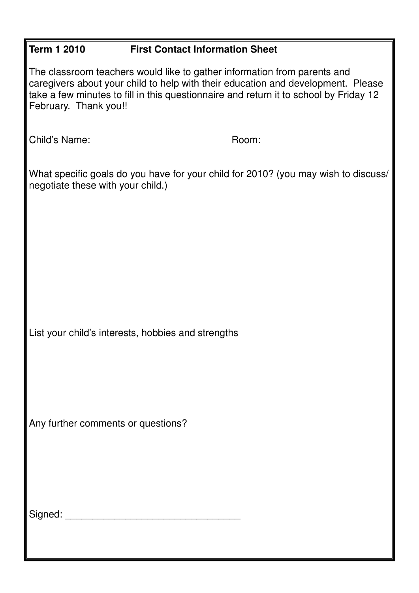| <b>Term 1 2010</b>                                                                                                                                                                                                                                                             | <b>First Contact Information Sheet</b> |  |
|--------------------------------------------------------------------------------------------------------------------------------------------------------------------------------------------------------------------------------------------------------------------------------|----------------------------------------|--|
| The classroom teachers would like to gather information from parents and<br>caregivers about your child to help with their education and development. Please<br>take a few minutes to fill in this questionnaire and return it to school by Friday 12<br>February. Thank you!! |                                        |  |
| Child's Name:                                                                                                                                                                                                                                                                  | Room:                                  |  |
| What specific goals do you have for your child for 2010? (you may wish to discuss/<br>negotiate these with your child.)                                                                                                                                                        |                                        |  |
|                                                                                                                                                                                                                                                                                |                                        |  |
|                                                                                                                                                                                                                                                                                |                                        |  |
|                                                                                                                                                                                                                                                                                |                                        |  |
| List your child's interests, hobbies and strengths                                                                                                                                                                                                                             |                                        |  |
|                                                                                                                                                                                                                                                                                |                                        |  |
| Any further comments or questions?                                                                                                                                                                                                                                             |                                        |  |
|                                                                                                                                                                                                                                                                                |                                        |  |
|                                                                                                                                                                                                                                                                                |                                        |  |
|                                                                                                                                                                                                                                                                                |                                        |  |